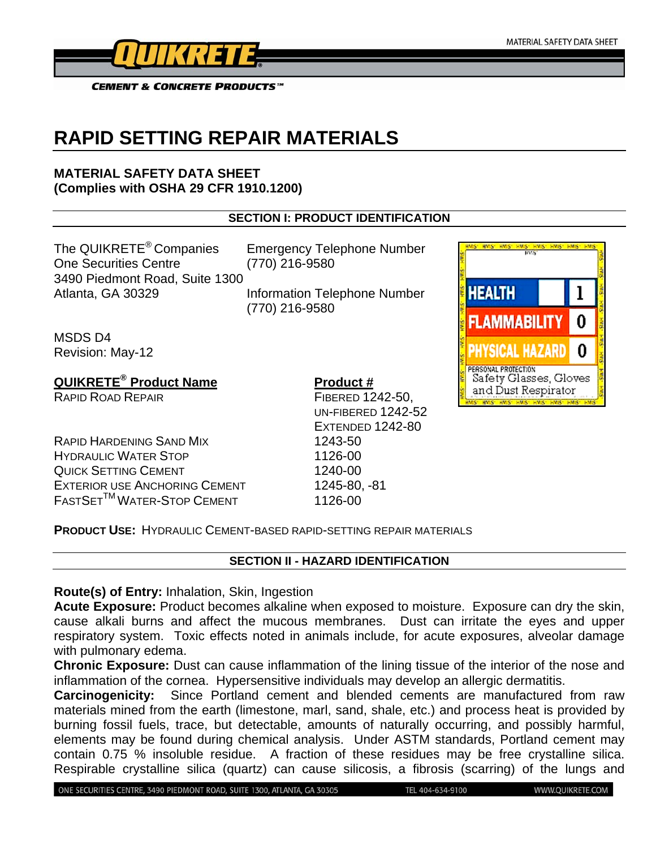

# **RAPID SETTING REPAIR MATERIALS**

## **MATERIAL SAFETY DATA SHEET (Complies with OSHA 29 CFR 1910.1200)**

# **SECTION I: PRODUCT IDENTIFICATION**

The QUIKRETE® Companies Emergency Telephone Number One Securities Centre (770) 216-9580 3490 Piedmont Road, Suite 1300

Atlanta, GA 30329 Information Telephone Number (770) 216-9580

MSDS D4 Revision: May-12

**QUIKRETE<sup>®</sup> Product Name Product #** 

RAPID HARDENING SAND MIX 1243-50 HYDRAULIC WATER STOP **1126-00** QUICK SETTING CEMENT 1240-00 EXTERIOR USE ANCHORING CEMENT 1245-80, -81 FASTSETTMWATER-STOP CEMENT 1126-00

RAPID ROAD REPAIR FIBERED 1242-50. UN-FIBERED 1242-52 EXTENDED 1242-80



**PRODUCT USE:** HYDRAULIC CEMENT-BASED RAPID-SETTING REPAIR MATERIALS

# **SECTION II - HAZARD IDENTIFICATION**

**Route(s) of Entry:** Inhalation, Skin, Ingestion

**Acute Exposure:** Product becomes alkaline when exposed to moisture. Exposure can dry the skin, cause alkali burns and affect the mucous membranes. Dust can irritate the eyes and upper respiratory system. Toxic effects noted in animals include, for acute exposures, alveolar damage with pulmonary edema.

**Chronic Exposure:** Dust can cause inflammation of the lining tissue of the interior of the nose and inflammation of the cornea. Hypersensitive individuals may develop an allergic dermatitis.

**Carcinogenicity:** Since Portland cement and blended cements are manufactured from raw materials mined from the earth (limestone, marl, sand, shale, etc.) and process heat is provided by burning fossil fuels, trace, but detectable, amounts of naturally occurring, and possibly harmful, elements may be found during chemical analysis. Under ASTM standards, Portland cement may contain 0.75 % insoluble residue. A fraction of these residues may be free crystalline silica. Respirable crystalline silica (quartz) can cause silicosis, a fibrosis (scarring) of the lungs and

ONE SECURITIES CENTRE, 3490 PIEDMONT ROAD, SUITE 1300, ATLANTA, GA 30305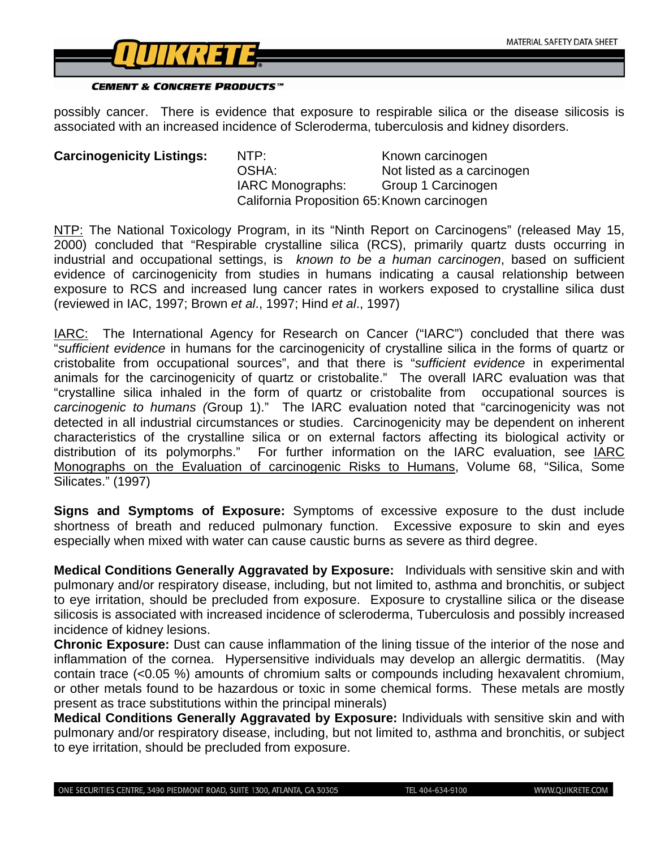

possibly cancer. There is evidence that exposure to respirable silica or the disease silicosis is associated with an increased incidence of Scleroderma, tuberculosis and kidney disorders.

**Carcinogenicity Listings:** NTP: Known carcinogen OSHA: Not listed as a carcinogen IARC Monographs: Group 1 Carcinogen California Proposition 65: Known carcinogen

NTP: The National Toxicology Program, in its "Ninth Report on Carcinogens" (released May 15, 2000) concluded that "Respirable crystalline silica (RCS), primarily quartz dusts occurring in industrial and occupational settings, is *known to be a human carcinogen*, based on sufficient evidence of carcinogenicity from studies in humans indicating a causal relationship between exposure to RCS and increased lung cancer rates in workers exposed to crystalline silica dust (reviewed in IAC, 1997; Brown *et al*., 1997; Hind *et al*., 1997)

IARC: The International Agency for Research on Cancer ("IARC") concluded that there was "*sufficient evidence* in humans for the carcinogenicity of crystalline silica in the forms of quartz or cristobalite from occupational sources", and that there is "*sufficient evidence* in experimental animals for the carcinogenicity of quartz or cristobalite." The overall IARC evaluation was that "crystalline silica inhaled in the form of quartz or cristobalite from occupational sources is *carcinogenic to humans (*Group 1)." The IARC evaluation noted that "carcinogenicity was not detected in all industrial circumstances or studies. Carcinogenicity may be dependent on inherent characteristics of the crystalline silica or on external factors affecting its biological activity or distribution of its polymorphs." For further information on the IARC evaluation, see IARC Monographs on the Evaluation of carcinogenic Risks to Humans, Volume 68, "Silica, Some Silicates." (1997)

**Signs and Symptoms of Exposure:** Symptoms of excessive exposure to the dust include shortness of breath and reduced pulmonary function. Excessive exposure to skin and eyes especially when mixed with water can cause caustic burns as severe as third degree.

**Medical Conditions Generally Aggravated by Exposure:** Individuals with sensitive skin and with pulmonary and/or respiratory disease, including, but not limited to, asthma and bronchitis, or subject to eye irritation, should be precluded from exposure. Exposure to crystalline silica or the disease silicosis is associated with increased incidence of scleroderma, Tuberculosis and possibly increased incidence of kidney lesions.

**Chronic Exposure:** Dust can cause inflammation of the lining tissue of the interior of the nose and inflammation of the cornea. Hypersensitive individuals may develop an allergic dermatitis. (May contain trace (<0.05 %) amounts of chromium salts or compounds including hexavalent chromium, or other metals found to be hazardous or toxic in some chemical forms. These metals are mostly present as trace substitutions within the principal minerals)

**Medical Conditions Generally Aggravated by Exposure:** Individuals with sensitive skin and with pulmonary and/or respiratory disease, including, but not limited to, asthma and bronchitis, or subject to eye irritation, should be precluded from exposure.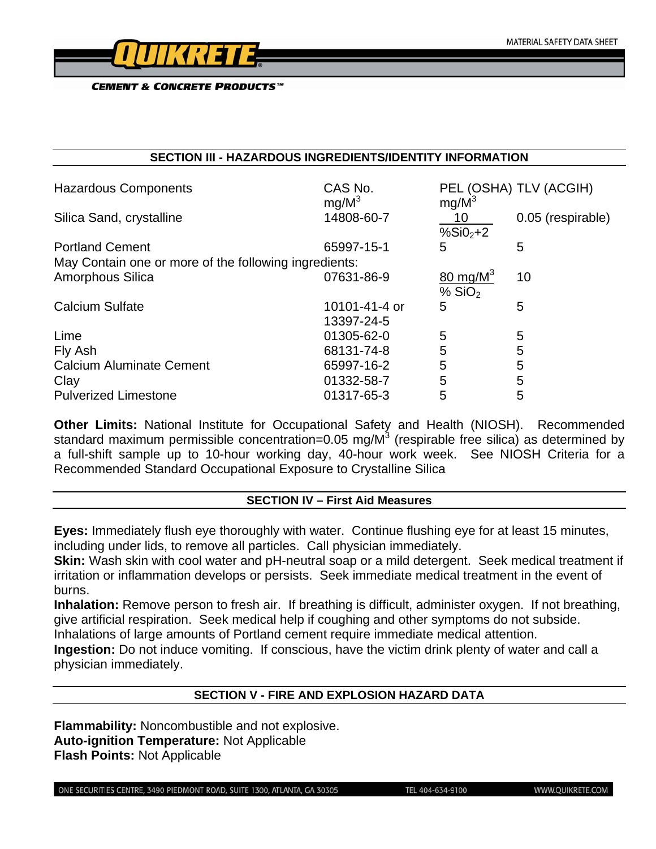

#### **SECTION III - HAZARDOUS INGREDIENTS/IDENTITY INFORMATION**

| <b>Hazardous Components</b>                           | CAS No.<br>mg/M <sup>3</sup> | $mg/M^3$            | PEL (OSHA) TLV (ACGIH) |  |
|-------------------------------------------------------|------------------------------|---------------------|------------------------|--|
| Silica Sand, crystalline                              | 14808-60-7                   | 10                  | 0.05 (respirable)      |  |
| <b>Portland Cement</b>                                | 65997-15-1                   | % $SiO2+2$<br>5     | 5                      |  |
| May Contain one or more of the following ingredients: |                              |                     |                        |  |
| Amorphous Silica                                      | 07631-86-9                   | $80 \text{ mg/M}^3$ | 10                     |  |
|                                                       |                              | % $SiO2$            |                        |  |
| <b>Calcium Sulfate</b>                                | 10101-41-4 or                | 5                   | 5                      |  |
|                                                       | 13397-24-5                   |                     |                        |  |
| Lime                                                  | 01305-62-0                   | 5                   | 5                      |  |
| Fly Ash                                               | 68131-74-8                   | 5                   | 5                      |  |
| <b>Calcium Aluminate Cement</b>                       | 65997-16-2                   | 5                   | 5                      |  |
| Clay                                                  | 01332-58-7                   | 5                   | 5                      |  |
| <b>Pulverized Limestone</b>                           | 01317-65-3                   | 5                   | 5                      |  |

**Other Limits:** National Institute for Occupational Safety and Health (NIOSH). Recommended standard maximum permissible concentration=0.05 mg/M<sup>3</sup> (respirable free silica) as determined by a full-shift sample up to 10-hour working day, 40-hour work week. See NIOSH Criteria for a Recommended Standard Occupational Exposure to Crystalline Silica

#### **SECTION IV – First Aid Measures**

**Eyes:** Immediately flush eye thoroughly with water. Continue flushing eye for at least 15 minutes, including under lids, to remove all particles. Call physician immediately.

**Skin:** Wash skin with cool water and pH-neutral soap or a mild detergent. Seek medical treatment if irritation or inflammation develops or persists. Seek immediate medical treatment in the event of burns.

**Inhalation:** Remove person to fresh air. If breathing is difficult, administer oxygen. If not breathing, give artificial respiration. Seek medical help if coughing and other symptoms do not subside.

Inhalations of large amounts of Portland cement require immediate medical attention.

**Ingestion:** Do not induce vomiting. If conscious, have the victim drink plenty of water and call a physician immediately.

# **SECTION V - FIRE AND EXPLOSION HAZARD DATA**

**Flammability:** Noncombustible and not explosive. **Auto-ignition Temperature:** Not Applicable **Flash Points:** Not Applicable

ONE SECURITIES CENTRE, 3490 PIEDMONT ROAD, SUITE 1300, ATLANTA, GA 30305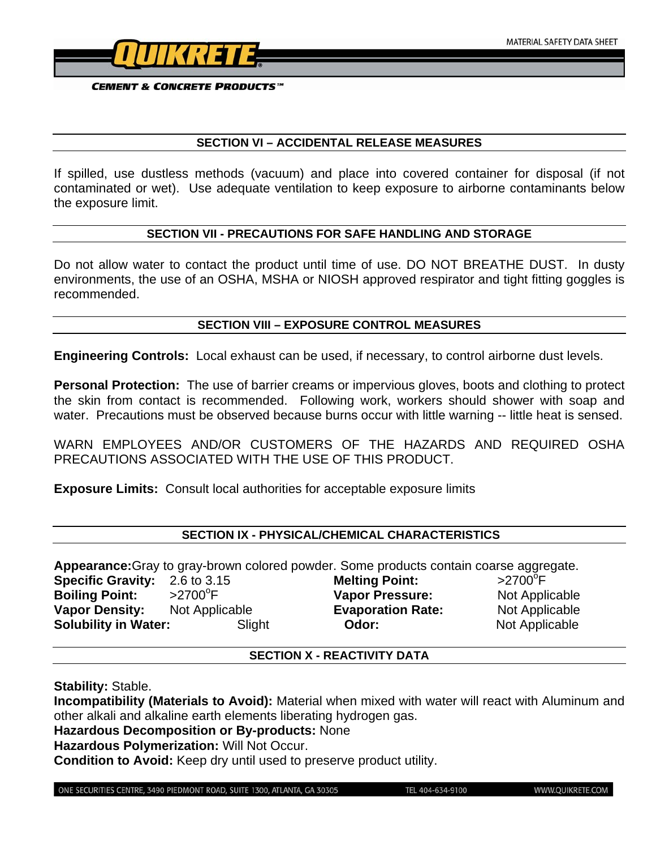

#### **SECTION VI – ACCIDENTAL RELEASE MEASURES**

If spilled, use dustless methods (vacuum) and place into covered container for disposal (if not contaminated or wet). Use adequate ventilation to keep exposure to airborne contaminants below the exposure limit.

#### **SECTION VII - PRECAUTIONS FOR SAFE HANDLING AND STORAGE**

Do not allow water to contact the product until time of use. DO NOT BREATHE DUST. In dusty environments, the use of an OSHA, MSHA or NIOSH approved respirator and tight fitting goggles is recommended.

#### **SECTION VIII – EXPOSURE CONTROL MEASURES**

**Engineering Controls:** Local exhaust can be used, if necessary, to control airborne dust levels.

**Personal Protection:** The use of barrier creams or impervious gloves, boots and clothing to protect the skin from contact is recommended. Following work, workers should shower with soap and water. Precautions must be observed because burns occur with little warning -- little heat is sensed.

WARN EMPLOYEES AND/OR CUSTOMERS OF THE HAZARDS AND REQUIRED OSHA PRECAUTIONS ASSOCIATED WITH THE USE OF THIS PRODUCT.

**Exposure Limits:** Consult local authorities for acceptable exposure limits

## **SECTION IX - PHYSICAL/CHEMICAL CHARACTERISTICS**

**Appearance:**Gray to gray-brown colored powder. Some products contain coarse aggregate. **Specific Gravity:** 2.6 to 3.15 **Melting Point:**  $>2700$ <sup>o</sup>F **Boiling Point:** >2700°F **Vapor Pressure:** Not Applicable **Vapor Density:** Not Applicable **Evaporation Rate:** Not Applicable **Solubility in Water:** Slight **Odor:** Not Applicable

## **SECTION X - REACTIVITY DATA**

**Stability:** Stable.

**Incompatibility (Materials to Avoid):** Material when mixed with water will react with Aluminum and other alkali and alkaline earth elements liberating hydrogen gas.

**Hazardous Decomposition or By-products:** None

**Hazardous Polymerization:** Will Not Occur.

**Condition to Avoid:** Keep dry until used to preserve product utility.

ONE SECURITIES CENTRE, 3490 PIEDMONT ROAD, SUITE 1300, ATLANTA, GA 30305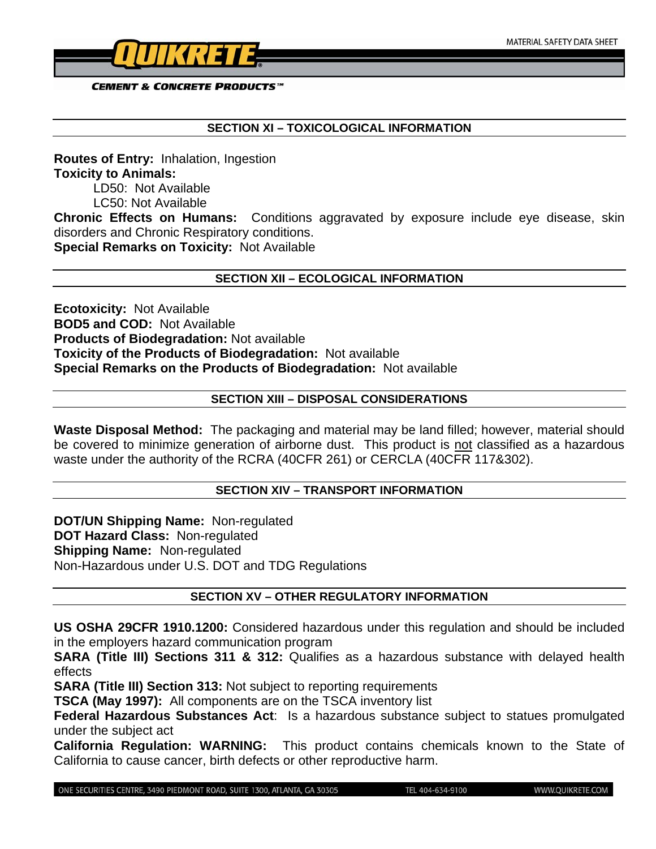

#### **SECTION XI – TOXICOLOGICAL INFORMATION**

**Routes of Entry:** Inhalation, Ingestion **Toxicity to Animals:**  LD50: Not Available LC50: Not Available **Chronic Effects on Humans:** Conditions aggravated by exposure include eye disease, skin disorders and Chronic Respiratory conditions.

**Special Remarks on Toxicity:** Not Available

#### **SECTION XII – ECOLOGICAL INFORMATION**

**Ecotoxicity:** Not Available **BOD5 and COD:** Not Available **Products of Biodegradation:** Not available **Toxicity of the Products of Biodegradation:** Not available **Special Remarks on the Products of Biodegradation:** Not available

## **SECTION XIII – DISPOSAL CONSIDERATIONS**

**Waste Disposal Method:** The packaging and material may be land filled; however, material should be covered to minimize generation of airborne dust. This product is not classified as a hazardous waste under the authority of the RCRA (40CFR 261) or CERCLA (40CFR 117&302).

#### **SECTION XIV – TRANSPORT INFORMATION**

**DOT/UN Shipping Name:** Non-regulated **DOT Hazard Class:** Non-regulated **Shipping Name:** Non-regulated Non-Hazardous under U.S. DOT and TDG Regulations

## **SECTION XV – OTHER REGULATORY INFORMATION**

**US OSHA 29CFR 1910.1200:** Considered hazardous under this regulation and should be included in the employers hazard communication program

**SARA (Title III) Sections 311 & 312:** Qualifies as a hazardous substance with delayed health effects

**SARA (Title III) Section 313:** Not subject to reporting requirements

**TSCA (May 1997):** All components are on the TSCA inventory list

**Federal Hazardous Substances Act**: Is a hazardous substance subject to statues promulgated under the subject act

**California Regulation: WARNING:** This product contains chemicals known to the State of California to cause cancer, birth defects or other reproductive harm.

ONE SECURITIES CENTRE, 3490 PIEDMONT ROAD, SUITE 1300, ATLANTA, GA 30305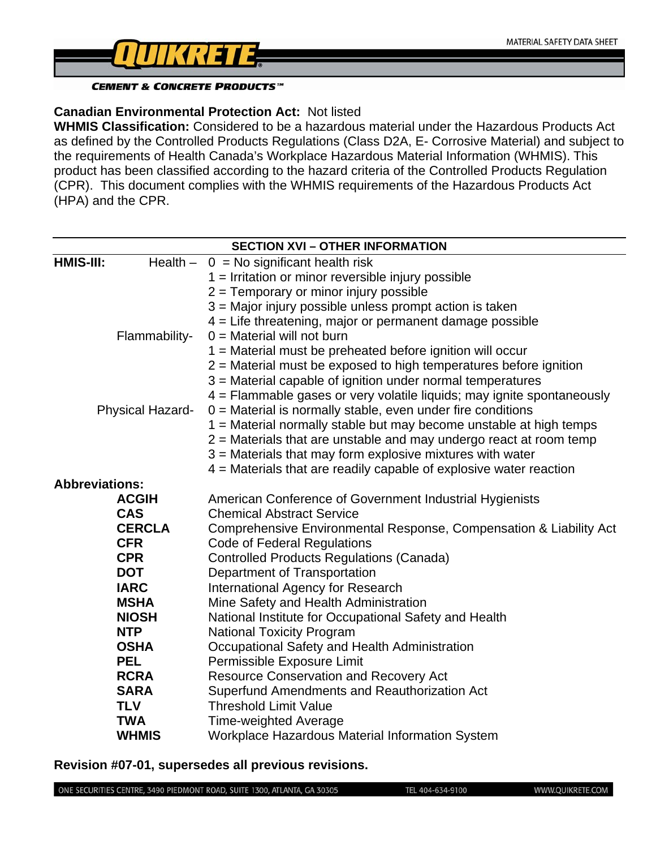

# **Canadian Environmental Protection Act:** Not listed

**WHMIS Classification:** Considered to be a hazardous material under the Hazardous Products Act as defined by the Controlled Products Regulations (Class D2A, E- Corrosive Material) and subject to the requirements of Health Canada's Workplace Hazardous Material Information (WHMIS). This product has been classified according to the hazard criteria of the Controlled Products Regulation (CPR). This document complies with the WHMIS requirements of the Hazardous Products Act (HPA) and the CPR.

| <b>SECTION XVI - OTHER INFORMATION</b> |                                                                                                |  |
|----------------------------------------|------------------------------------------------------------------------------------------------|--|
| HMIS-III:                              | Health $- 0 = No$ significant health risk                                                      |  |
|                                        | $1 =$ Irritation or minor reversible injury possible                                           |  |
|                                        | 2 = Temporary or minor injury possible                                                         |  |
|                                        | 3 = Major injury possible unless prompt action is taken                                        |  |
|                                        | 4 = Life threatening, major or permanent damage possible                                       |  |
| Flammability-                          | $0 =$ Material will not burn                                                                   |  |
|                                        | 1 = Material must be preheated before ignition will occur                                      |  |
|                                        | 2 = Material must be exposed to high temperatures before ignition                              |  |
|                                        | 3 = Material capable of ignition under normal temperatures                                     |  |
|                                        | 4 = Flammable gases or very volatile liquids; may ignite spontaneously                         |  |
| <b>Physical Hazard-</b>                | $0 =$ Material is normally stable, even under fire conditions                                  |  |
|                                        | 1 = Material normally stable but may become unstable at high temps                             |  |
|                                        | $2$ = Materials that are unstable and may undergo react at room temp                           |  |
|                                        | 3 = Materials that may form explosive mixtures with water                                      |  |
|                                        | $4$ = Materials that are readily capable of explosive water reaction                           |  |
| <b>Abbreviations:</b>                  |                                                                                                |  |
| <b>ACGIH</b>                           | American Conference of Government Industrial Hygienists                                        |  |
| <b>CAS</b>                             | <b>Chemical Abstract Service</b>                                                               |  |
| <b>CERCLA</b>                          | Comprehensive Environmental Response, Compensation & Liability Act                             |  |
| <b>CFR</b>                             | <b>Code of Federal Regulations</b>                                                             |  |
| <b>CPR</b>                             | <b>Controlled Products Regulations (Canada)</b>                                                |  |
| <b>DOT</b><br><b>IARC</b>              | Department of Transportation                                                                   |  |
| <b>MSHA</b>                            | <b>International Agency for Research</b>                                                       |  |
| <b>NIOSH</b>                           | Mine Safety and Health Administration<br>National Institute for Occupational Safety and Health |  |
| <b>NTP</b>                             | <b>National Toxicity Program</b>                                                               |  |
| <b>OSHA</b>                            | Occupational Safety and Health Administration                                                  |  |
| <b>PEL</b>                             | Permissible Exposure Limit                                                                     |  |
| <b>RCRA</b>                            | <b>Resource Conservation and Recovery Act</b>                                                  |  |
| <b>SARA</b>                            | Superfund Amendments and Reauthorization Act                                                   |  |
| <b>TLV</b>                             | <b>Threshold Limit Value</b>                                                                   |  |
| <b>TWA</b>                             | <b>Time-weighted Average</b>                                                                   |  |
| <b>WHMIS</b>                           | Workplace Hazardous Material Information System                                                |  |

**Revision #07-01, supersedes all previous revisions.** 

ONE SECURITIES CENTRE, 3490 PIEDMONT ROAD, SUITE 1300, ATLANTA, GA 30305